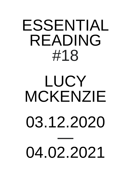## ESSENTIAL READING #18

## LUCY MCKENZIE 03.12.2020 — 04.02.2021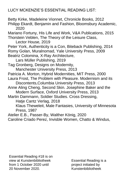LUCY MCKENZIE'S ESSENTIAL READING LIST:

Betty Kirke, Madeleine Vionnet, Chronicle Books, 2012 Philipp Ekardt, Benjamin and Fashion, Bloomsbury Academic, 2020 Mariano Fortuny, His Life and Work, V&A Publications, 2015 Thorstein Veblen, The Theory of the Leisure Class, Lector House, 2019 Peter York, Authenticity is a Con, Biteback Publishing, 2014 Romy Golan, Muralnomad, Yale University Press, 2009 Beatriz Colomina, X-Ray Architecture, Lars Müller Publishing, 2019 Tag Gronberg, Designs on Modernity, Manchester University Press, 2013 Patricia A. Morton, Hybrid Modernities, MIT Press, 2000 Laura Frost, The Problem with Pleasure. Modernism and its Discontents,Columbia University Press, 2013 Anne Aling Cheng, Second Skin. Josephine Baker and the Modern Surface, Oxford University Press, 2013 Martin Dammann, Soldier Studies. Cross Dressing, Hatje Cantz Verlag, 2018 Klaus Theweleit, Male Fantasies, University of Minnesota Press, 1987 Atelier E.B., Passer-By, Walther König, 2020 Caroline Criado Perez, Invisble Women, Chatto & Windus,

Essential Reading #18 is on view at Kunstenbibliotheek from 1 October 2020 until 20 November 2020.

Essential Reading is a project initiated by Kunstenbibliotheek